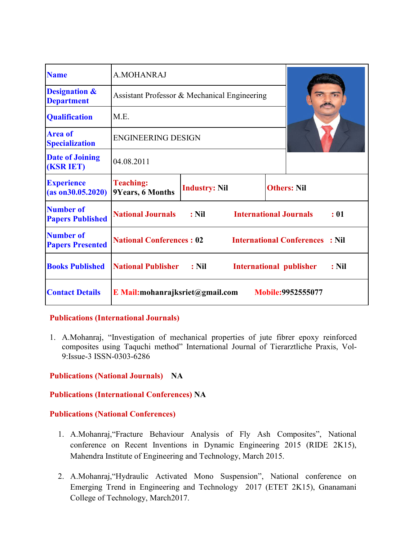| <b>Name</b>                                   | A.MOHANRAJ                                   |                      |                               |  |                                        |         |
|-----------------------------------------------|----------------------------------------------|----------------------|-------------------------------|--|----------------------------------------|---------|
| <b>Designation &amp;</b><br><b>Department</b> | Assistant Professor & Mechanical Engineering |                      |                               |  |                                        |         |
| <b>Qualification</b>                          | M.E.                                         |                      |                               |  |                                        |         |
| <b>Area of</b><br><b>Specialization</b>       | <b>ENGINEERING DESIGN</b>                    |                      |                               |  |                                        |         |
| <b>Date of Joining</b><br><b>(KSR IET)</b>    | 04.08.2011                                   |                      |                               |  |                                        |         |
| <b>Experience</b><br>(as on 30.05.2020)       | <b>Teaching:</b><br>9Years, 6 Months         | <b>Industry: Nil</b> |                               |  | <b>Others: Nil</b>                     |         |
| <b>Number of</b><br><b>Papers Published</b>   | <b>National Journals</b>                     | $:$ Nil              | <b>International Journals</b> |  |                                        | : 01    |
| <b>Number of</b><br><b>Papers Presented</b>   | <b>National Conferences: 02</b>              |                      |                               |  | <b>International Conferences : Nil</b> |         |
| <b>Books Published</b>                        | <b>National Publisher</b>                    | $:$ Nil              |                               |  | International publisher                | $:$ Nil |
| <b>Contact Details</b>                        | E Mail:mohanrajksriet@gmail.com              |                      |                               |  | <b>Mobile:9952555077</b>               |         |

#### **Publications (International Journals)**

1. A.Mohanraj, "Investigation of mechanical properties of jute fibrer epoxy reinforced composites using Taquchi method" International Journal of Tierarztliche Praxis, Vol-9:Issue-3 ISSN-0303-6286

## **Publications (National Journals) NA**

#### **Publications (International Conferences) NA**

#### **Publications (National Conferences)**

- 1. A.Mohanraj,"Fracture Behaviour Analysis of Fly Ash Composites", National conference on Recent Inventions in Dynamic Engineering 2015 (RIDE 2K15), Mahendra Institute of Engineering and Technology, March 2015.
- 2. A.Mohanraj,"Hydraulic Activated Mono Suspension", National conference on Emerging Trend in Engineering and Technology 2017 (ETET 2K15), Gnanamani College of Technology, March2017.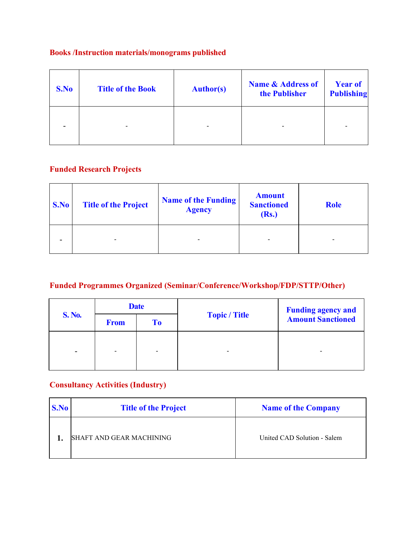## **Books /Instruction materials/monograms published**

| S.No | <b>Title of the Book</b> | <b>Author(s)</b> | <b>Name &amp; Address of</b><br>the Publisher | <b>Year of</b><br><b>Publishing</b> |
|------|--------------------------|------------------|-----------------------------------------------|-------------------------------------|
|      |                          |                  | ٠                                             |                                     |

# **Funded Research Projects**

| S.No | <b>Title of the Project</b> | <b>Name of the Funding</b><br><b>Agency</b> | <b>Amount</b><br><b>Sanctioned</b><br><b>(Rs.)</b> | <b>Role</b>    |
|------|-----------------------------|---------------------------------------------|----------------------------------------------------|----------------|
|      | $\overline{\phantom{a}}$    |                                             | $\,$                                               | $\blacksquare$ |

# **Funded Programmes Organized (Seminar/Conference/Workshop/FDP/STTP/Other)**

| <b>S. No.</b>            | <b>Date</b> |    |                      | <b>Funding agency and</b> |
|--------------------------|-------------|----|----------------------|---------------------------|
|                          | <b>From</b> | To | <b>Topic / Title</b> | <b>Amount Sanctioned</b>  |
| $\overline{\phantom{a}}$ |             |    | -                    |                           |
|                          |             |    |                      |                           |

# **Consultancy Activities (Industry)**

| S.No | <b>Title of the Project</b> | <b>Name of the Company</b>  |
|------|-----------------------------|-----------------------------|
|      | SHAFT AND GEAR MACHINING    | United CAD Solution - Salem |